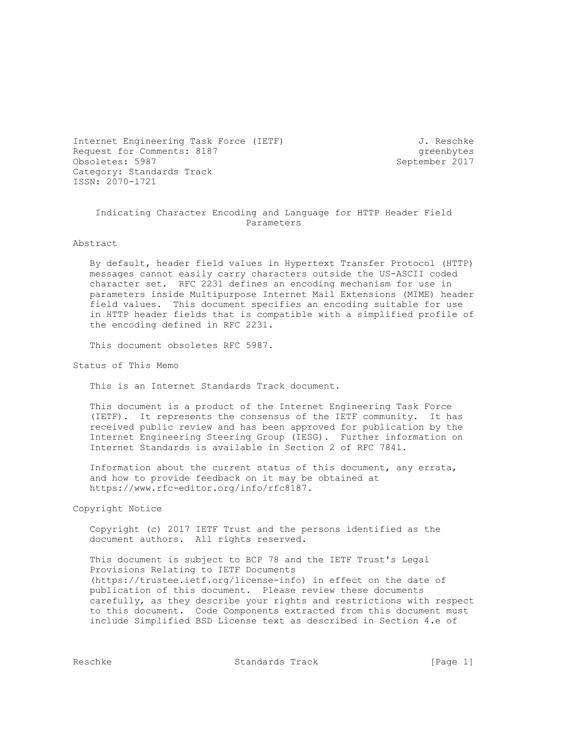Internet Engineering Task Force (IETF) 3. Reschke Request for Comments: 8187 greenbytes<br>
0bsoletes: 5987 <br>
greenber 2017 <br>
greenbytes Obsoletes: 5987 Category: Standards Track ISSN: 2070-1721

#### Indicating Character Encoding and Language for HTTP Header Field Parameters

Abstract

 By default, header field values in Hypertext Transfer Protocol (HTTP) messages cannot easily carry characters outside the US-ASCII coded character set. RFC 2231 defines an encoding mechanism for use in parameters inside Multipurpose Internet Mail Extensions (MIME) header field values. This document specifies an encoding suitable for use in HTTP header fields that is compatible with a simplified profile of the encoding defined in RFC 2231.

This document obsoletes RFC 5987.

Status of This Memo

This is an Internet Standards Track document.

 This document is a product of the Internet Engineering Task Force (IETF). It represents the consensus of the IETF community. It has received public review and has been approved for publication by the Internet Engineering Steering Group (IESG). Further information on Internet Standards is available in Section 2 of RFC 7841.

 Information about the current status of this document, any errata, and how to provide feedback on it may be obtained at https://www.rfc-editor.org/info/rfc8187.

Copyright Notice

 Copyright (c) 2017 IETF Trust and the persons identified as the document authors. All rights reserved.

 This document is subject to BCP 78 and the IETF Trust's Legal Provisions Relating to IETF Documents (https://trustee.ietf.org/license-info) in effect on the date of publication of this document. Please review these documents carefully, as they describe your rights and restrictions with respect to this document. Code Components extracted from this document must include Simplified BSD License text as described in Section 4.e of

Reschke Standards Track [Page 1]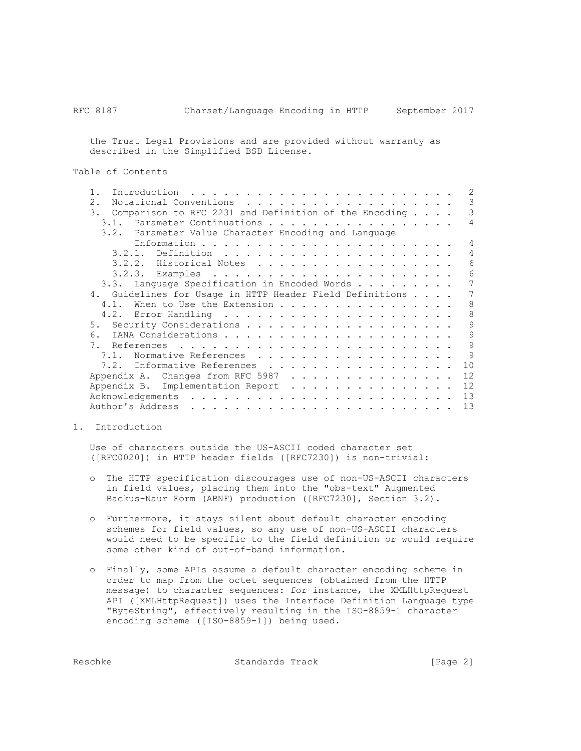the Trust Legal Provisions and are provided without warranty as described in the Simplified BSD License.

Table of Contents

| Introduction<br>and the state of the state of the state                                                                             | 2             |
|-------------------------------------------------------------------------------------------------------------------------------------|---------------|
| 2.<br>Notational Conventions<br>.                                                                                                   | 3             |
| Comparison to RFC 2231 and Definition of the Encoding $\ldots$ .<br>3.                                                              | 3             |
| 3.1. Parameter Continuations                                                                                                        | 4             |
| 3.2. Parameter Value Character Encoding and Language                                                                                |               |
|                                                                                                                                     | 4             |
|                                                                                                                                     | 4             |
| 3.2.2. Historical Notes                                                                                                             | 6             |
|                                                                                                                                     | 6             |
| 3.3. Language Specification in Encoded Words                                                                                        |               |
| 4. Guidelines for Usage in HTTP Header Field Definitions                                                                            | 7             |
| When to Use the Extension<br>4.1.                                                                                                   | 8             |
|                                                                                                                                     | 8             |
|                                                                                                                                     | 9             |
| 6.                                                                                                                                  | 9             |
| 7.                                                                                                                                  | 9             |
| 7.1.                                                                                                                                | $\mathcal{Q}$ |
| Normative References                                                                                                                |               |
| 7.2. Informative References                                                                                                         | 10            |
| Appendix A. Changes from RFC 5987                                                                                                   | 12            |
| Appendix B. Implementation Report                                                                                                   | 12            |
| Acknowledgements<br>$\mathbf{r}$ , $\mathbf{r}$ , $\mathbf{r}$ , $\mathbf{r}$ , $\mathbf{r}$ , $\mathbf{r}$<br>$\frac{1}{2}$        | 13            |
| Author's Address<br>and a complete that the complete state of the complete state of the complete state of the complete state of the | 13            |

1. Introduction

 Use of characters outside the US-ASCII coded character set ([RFC0020]) in HTTP header fields ([RFC7230]) is non-trivial:

- o The HTTP specification discourages use of non-US-ASCII characters in field values, placing them into the "obs-text" Augmented Backus-Naur Form (ABNF) production ([RFC7230], Section 3.2).
- o Furthermore, it stays silent about default character encoding schemes for field values, so any use of non-US-ASCII characters would need to be specific to the field definition or would require some other kind of out-of-band information.
- o Finally, some APIs assume a default character encoding scheme in order to map from the octet sequences (obtained from the HTTP message) to character sequences: for instance, the XMLHttpRequest API ([XMLHttpRequest]) uses the Interface Definition Language type "ByteString", effectively resulting in the ISO-8859-1 character encoding scheme ([ISO-8859-1]) being used.

Reschke Standards Track [Page 2]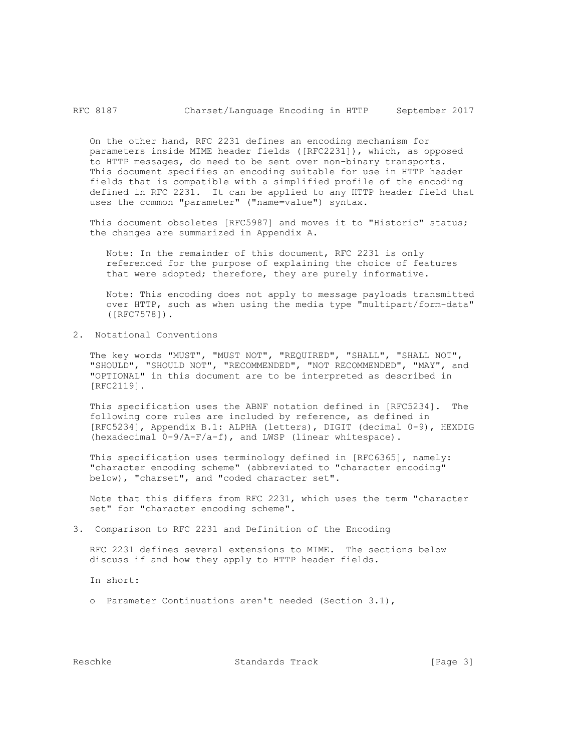On the other hand, RFC 2231 defines an encoding mechanism for parameters inside MIME header fields ([RFC2231]), which, as opposed to HTTP messages, do need to be sent over non-binary transports. This document specifies an encoding suitable for use in HTTP header fields that is compatible with a simplified profile of the encoding defined in RFC 2231. It can be applied to any HTTP header field that uses the common "parameter" ("name=value") syntax.

 This document obsoletes [RFC5987] and moves it to "Historic" status; the changes are summarized in Appendix A.

 Note: In the remainder of this document, RFC 2231 is only referenced for the purpose of explaining the choice of features that were adopted; therefore, they are purely informative.

 Note: This encoding does not apply to message payloads transmitted over HTTP, such as when using the media type "multipart/form-data" ([RFC7578]).

2. Notational Conventions

 The key words "MUST", "MUST NOT", "REQUIRED", "SHALL", "SHALL NOT", "SHOULD", "SHOULD NOT", "RECOMMENDED", "NOT RECOMMENDED", "MAY", and "OPTIONAL" in this document are to be interpreted as described in [RFC2119].

 This specification uses the ABNF notation defined in [RFC5234]. The following core rules are included by reference, as defined in [RFC5234], Appendix B.1: ALPHA (letters), DIGIT (decimal 0-9), HEXDIG (hexadecimal 0-9/A-F/a-f), and LWSP (linear whitespace).

 This specification uses terminology defined in [RFC6365], namely: "character encoding scheme" (abbreviated to "character encoding" below), "charset", and "coded character set".

 Note that this differs from RFC 2231, which uses the term "character set" for "character encoding scheme".

3. Comparison to RFC 2231 and Definition of the Encoding

 RFC 2231 defines several extensions to MIME. The sections below discuss if and how they apply to HTTP header fields.

In short:

o Parameter Continuations aren't needed (Section 3.1),

Reschke Standards Track [Page 3]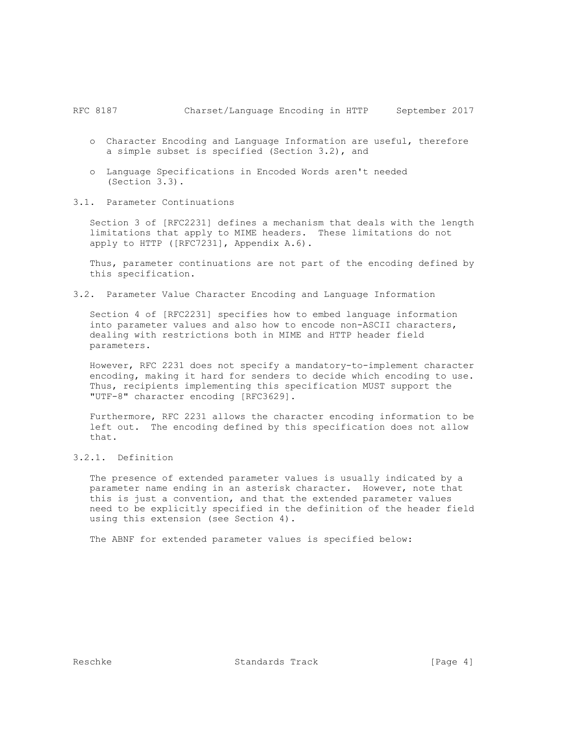- o Character Encoding and Language Information are useful, therefore a simple subset is specified (Section 3.2), and
- o Language Specifications in Encoded Words aren't needed (Section 3.3).
- 3.1. Parameter Continuations

 Section 3 of [RFC2231] defines a mechanism that deals with the length limitations that apply to MIME headers. These limitations do not apply to HTTP ([RFC7231], Appendix A.6).

 Thus, parameter continuations are not part of the encoding defined by this specification.

3.2. Parameter Value Character Encoding and Language Information

 Section 4 of [RFC2231] specifies how to embed language information into parameter values and also how to encode non-ASCII characters, dealing with restrictions both in MIME and HTTP header field parameters.

 However, RFC 2231 does not specify a mandatory-to-implement character encoding, making it hard for senders to decide which encoding to use. Thus, recipients implementing this specification MUST support the "UTF-8" character encoding [RFC3629].

 Furthermore, RFC 2231 allows the character encoding information to be left out. The encoding defined by this specification does not allow that.

3.2.1. Definition

 The presence of extended parameter values is usually indicated by a parameter name ending in an asterisk character. However, note that this is just a convention, and that the extended parameter values need to be explicitly specified in the definition of the header field using this extension (see Section 4).

The ABNF for extended parameter values is specified below:

Reschke Standards Track [Page 4]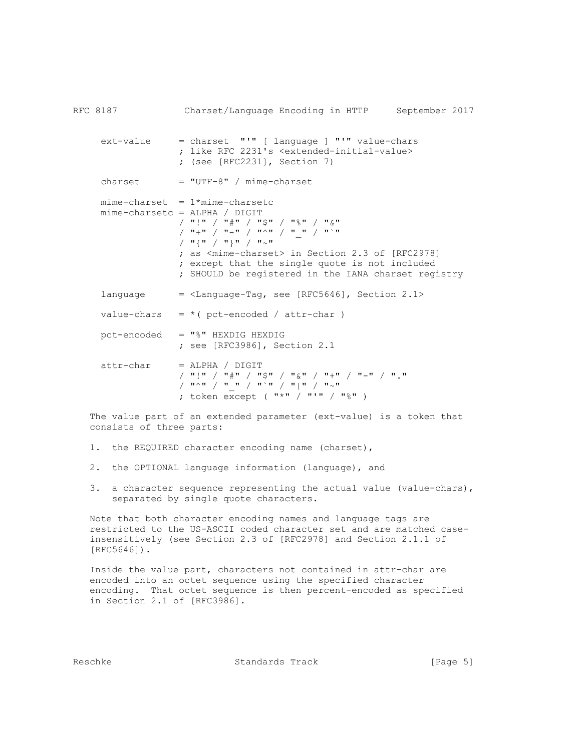RFC 8187 Charset/Language Encoding in HTTP September 2017 ext-value = charset "'" [ language ] "'" value-chars ; like RFC 2231's <extended-initial-value> ; (see [RFC2231], Section 7)  $\text{cherset}$  = "UTF-8" / mime-charset  $mine$ -charset =  $1*mine$ -charsetc mime-charsetc = ALPHA / DIGIT / "!" / "#" / "\$" / "%" / "&"  $\frac{1}{2}$   $\frac{1}{2}$   $\frac{1}{2}$   $\frac{1}{2}$   $\frac{1}{2}$   $\frac{1}{2}$   $\frac{1}{2}$   $\frac{1}{2}$   $\frac{1}{2}$   $\frac{1}{2}$   $\frac{1}{2}$   $\frac{1}{2}$   $\frac{1}{2}$   $\frac{1}{2}$   $\frac{1}{2}$   $\frac{1}{2}$   $\frac{1}{2}$   $\frac{1}{2}$   $\frac{1}{2}$   $\frac{1}{2}$   $\frac{1}{2}$   $\frac{1}{2}$   $\frac{1}{2}$   $\frac{1}{2}$   $\frac{1}{2}$   $\frac{1}{2}$   $\frac{1}{2}$   $\frac{1}{2}$   $\frac{1}{2}$   $\frac{1}{2}$   $\frac{1}{2}$   $\frac{1}{2}$   $\frac{1}{2}$   $\frac{1}{2}$   $\frac{1}{2}$   $\frac{1}{2}$   $\frac{1}{2}$   $\frac{1}{2}$   $\frac{1}{2}$   $\frac{1}{2}$   $\frac{1}{2}$   $\frac{1}{2}$   $\frac{1}{2}$   $\frac{1}{2}$  ; as <mime-charset> in Section 2.3 of [RFC2978] ; except that the single quote is not included ; SHOULD be registered in the IANA charset registry language  $=$  <Language-Tag, see [RFC5646], Section 2.1> value-chars =  $*($  pct-encoded / attr-char ) pct-encoded = "%" HEXDIG HEXDIG ; see [RFC3986], Section 2.1 attr-char = ALPHA / DIGIT / "!" / "#" / "\$" / "&" / "+" / "-" / "."  $\left( \begin{array}{cc} 0 & \text{if} & \text{if} & \text{if} & \text{if} & \text{if} & \text{if} & \text{if} & \text{if} & \text{if} & \text{if} & \text{if} & \text{if} & \text{if} & \text{if} & \text{if} & \text{if} & \text{if} & \text{if} & \text{if} & \text{if} & \text{if} & \text{if} & \text{if} & \text{if} & \text{if} & \text{if} & \text{if} & \text{if} & \text{if} & \text{if} & \text{if} & \text{if} & \text{if} & \text{if} & \text{$ ; token  $\exp t$  ("\*" / "'" / "%")

 The value part of an extended parameter (ext-value) is a token that consists of three parts:

- 1. the REQUIRED character encoding name (charset),
- 2. the OPTIONAL language information (language), and
- 3. a character sequence representing the actual value (value-chars), separated by single quote characters.

 Note that both character encoding names and language tags are restricted to the US-ASCII coded character set and are matched case insensitively (see Section 2.3 of [RFC2978] and Section 2.1.1 of [RFC5646]).

 Inside the value part, characters not contained in attr-char are encoded into an octet sequence using the specified character encoding. That octet sequence is then percent-encoded as specified in Section 2.1 of [RFC3986].

Reschke Standards Track [Page 5]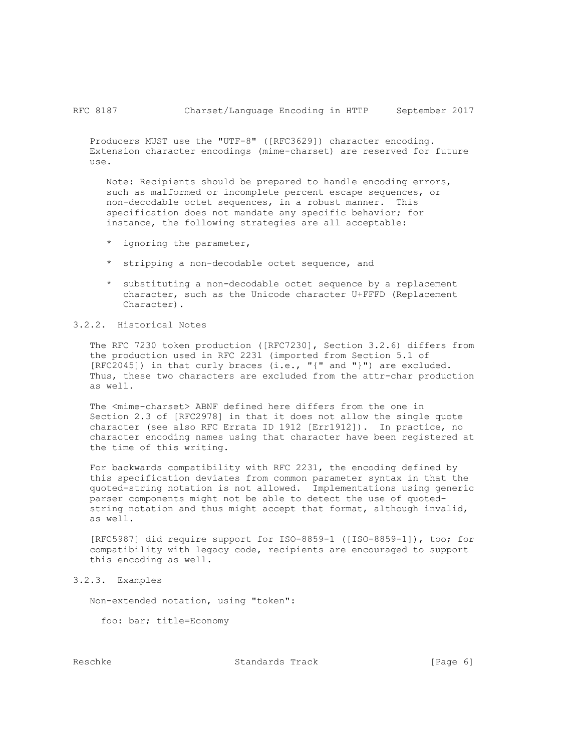Producers MUST use the "UTF-8" ([RFC3629]) character encoding. Extension character encodings (mime-charset) are reserved for future use.

 Note: Recipients should be prepared to handle encoding errors, such as malformed or incomplete percent escape sequences, or non-decodable octet sequences, in a robust manner. This specification does not mandate any specific behavior; for instance, the following strategies are all acceptable:

- \* ignoring the parameter,
- \* stripping a non-decodable octet sequence, and
- \* substituting a non-decodable octet sequence by a replacement character, such as the Unicode character U+FFFD (Replacement Character).

# 3.2.2. Historical Notes

 The RFC 7230 token production ([RFC7230], Section 3.2.6) differs from the production used in RFC 2231 (imported from Section 5.1 of  $[RFC2045])$  in that curly braces  $(i.e., "{'" and "'}")$  are excluded. Thus, these two characters are excluded from the attr-char production as well.

 The <mime-charset> ABNF defined here differs from the one in Section 2.3 of [RFC2978] in that it does not allow the single quote character (see also RFC Errata ID 1912 [Err1912]). In practice, no character encoding names using that character have been registered at the time of this writing.

 For backwards compatibility with RFC 2231, the encoding defined by this specification deviates from common parameter syntax in that the quoted-string notation is not allowed. Implementations using generic parser components might not be able to detect the use of quoted string notation and thus might accept that format, although invalid, as well.

 [RFC5987] did require support for ISO-8859-1 ([ISO-8859-1]), too; for compatibility with legacy code, recipients are encouraged to support this encoding as well.

## 3.2.3. Examples

Non-extended notation, using "token":

foo: bar; title=Economy

Reschke Standards Track [Page 6]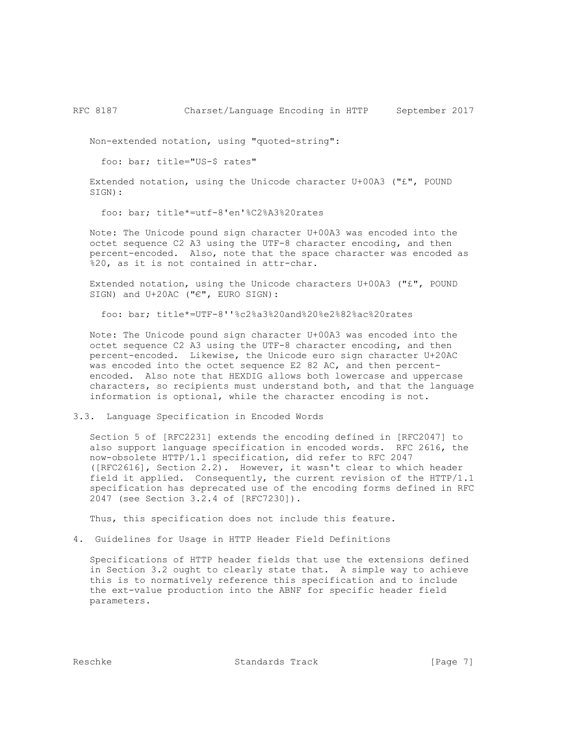Non-extended notation, using "quoted-string":

foo: bar; title="US-\$ rates"

 Extended notation, using the Unicode character U+00A3 ("£", POUND SIGN):

foo: bar; title\*=utf-8'en'%C2%A3%20rates

 Note: The Unicode pound sign character U+00A3 was encoded into the octet sequence C2 A3 using the UTF-8 character encoding, and then percent-encoded. Also, note that the space character was encoded as %20, as it is not contained in attr-char.

 Extended notation, using the Unicode characters U+00A3 ("£", POUND SIGN) and U+20AC ("€", EURO SIGN):

foo: bar; title\*=UTF-8''%c2%a3%20and%20%e2%82%ac%20rates

 Note: The Unicode pound sign character U+00A3 was encoded into the octet sequence C2 A3 using the UTF-8 character encoding, and then percent-encoded. Likewise, the Unicode euro sign character U+20AC was encoded into the octet sequence E2 82 AC, and then percent encoded. Also note that HEXDIG allows both lowercase and uppercase characters, so recipients must understand both, and that the language information is optional, while the character encoding is not.

## 3.3. Language Specification in Encoded Words

 Section 5 of [RFC2231] extends the encoding defined in [RFC2047] to also support language specification in encoded words. RFC 2616, the now-obsolete HTTP/1.1 specification, did refer to RFC 2047 ([RFC2616], Section 2.2). However, it wasn't clear to which header field it applied. Consequently, the current revision of the HTTP/1.1 specification has deprecated use of the encoding forms defined in RFC 2047 (see Section 3.2.4 of [RFC7230]).

Thus, this specification does not include this feature.

4. Guidelines for Usage in HTTP Header Field Definitions

 Specifications of HTTP header fields that use the extensions defined in Section 3.2 ought to clearly state that. A simple way to achieve this is to normatively reference this specification and to include the ext-value production into the ABNF for specific header field parameters.

Reschke Standards Track [Page 7]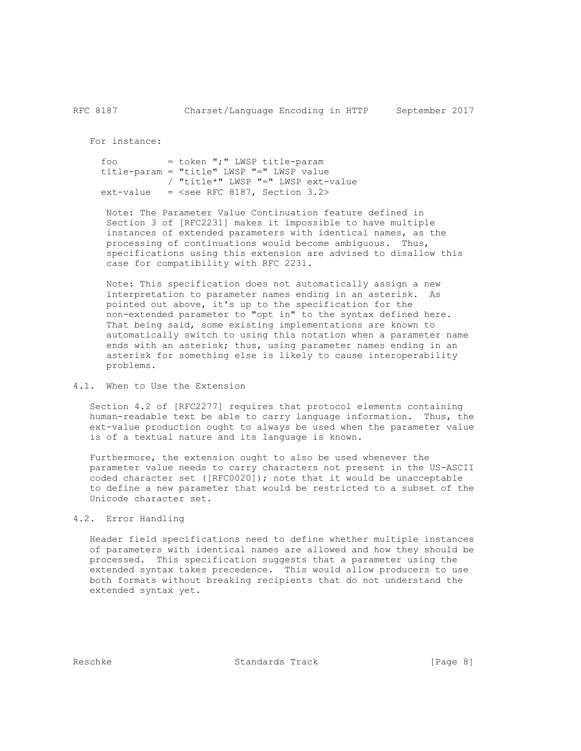For instance:

```
 foo = token ";" LWSP title-param
 title-param = "title" LWSP "=" LWSP value
           / "title*" LWSP "=" LWSP ext-value
ext-value = \leqsee RFC 8187, Section 3.2>
```
 Note: The Parameter Value Continuation feature defined in Section 3 of [RFC2231] makes it impossible to have multiple instances of extended parameters with identical names, as the processing of continuations would become ambiguous. Thus, specifications using this extension are advised to disallow this case for compatibility with RFC 2231.

 Note: This specification does not automatically assign a new interpretation to parameter names ending in an asterisk. As pointed out above, it's up to the specification for the non-extended parameter to "opt in" to the syntax defined here. That being said, some existing implementations are known to automatically switch to using this notation when a parameter name ends with an asterisk; thus, using parameter names ending in an asterisk for something else is likely to cause interoperability problems.

## 4.1. When to Use the Extension

 Section 4.2 of [RFC2277] requires that protocol elements containing human-readable text be able to carry language information. Thus, the ext-value production ought to always be used when the parameter value is of a textual nature and its language is known.

 Furthermore, the extension ought to also be used whenever the parameter value needs to carry characters not present in the US-ASCII coded character set ([RFC0020]); note that it would be unacceptable to define a new parameter that would be restricted to a subset of the Unicode character set.

## 4.2. Error Handling

 Header field specifications need to define whether multiple instances of parameters with identical names are allowed and how they should be processed. This specification suggests that a parameter using the extended syntax takes precedence. This would allow producers to use both formats without breaking recipients that do not understand the extended syntax yet.

Reschke Standards Track [Page 8]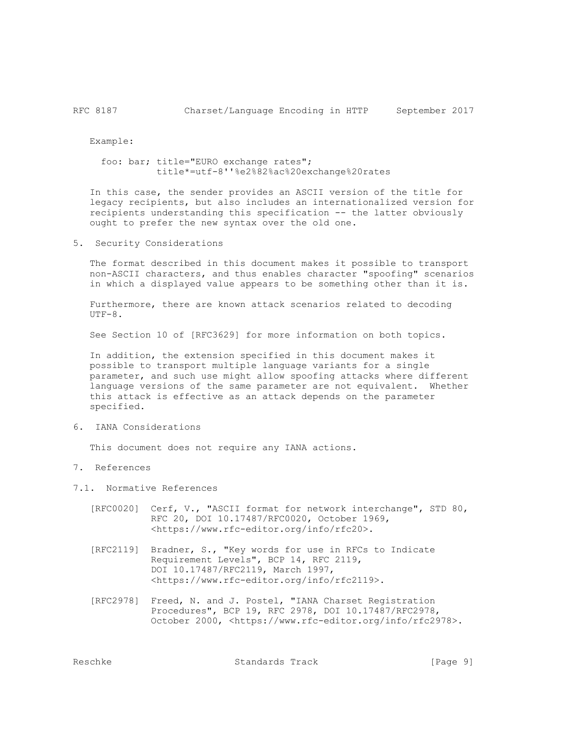Example:

 foo: bar; title="EURO exchange rates"; title\*=utf-8''%e2%82%ac%20exchange%20rates

 In this case, the sender provides an ASCII version of the title for legacy recipients, but also includes an internationalized version for recipients understanding this specification -- the latter obviously ought to prefer the new syntax over the old one.

5. Security Considerations

 The format described in this document makes it possible to transport non-ASCII characters, and thus enables character "spoofing" scenarios in which a displayed value appears to be something other than it is.

 Furthermore, there are known attack scenarios related to decoding  $UTF-8.$ 

See Section 10 of [RFC3629] for more information on both topics.

 In addition, the extension specified in this document makes it possible to transport multiple language variants for a single parameter, and such use might allow spoofing attacks where different language versions of the same parameter are not equivalent. Whether this attack is effective as an attack depends on the parameter specified.

6. IANA Considerations

This document does not require any IANA actions.

- 7. References
- 7.1. Normative References
	- [RFC0020] Cerf, V., "ASCII format for network interchange", STD 80, RFC 20, DOI 10.17487/RFC0020, October 1969, <https://www.rfc-editor.org/info/rfc20>.
	- [RFC2119] Bradner, S., "Key words for use in RFCs to Indicate Requirement Levels", BCP 14, RFC 2119, DOI 10.17487/RFC2119, March 1997, <https://www.rfc-editor.org/info/rfc2119>.
	- [RFC2978] Freed, N. and J. Postel, "IANA Charset Registration Procedures", BCP 19, RFC 2978, DOI 10.17487/RFC2978, October 2000, <https://www.rfc-editor.org/info/rfc2978>.

Reschke Standards Track [Page 9]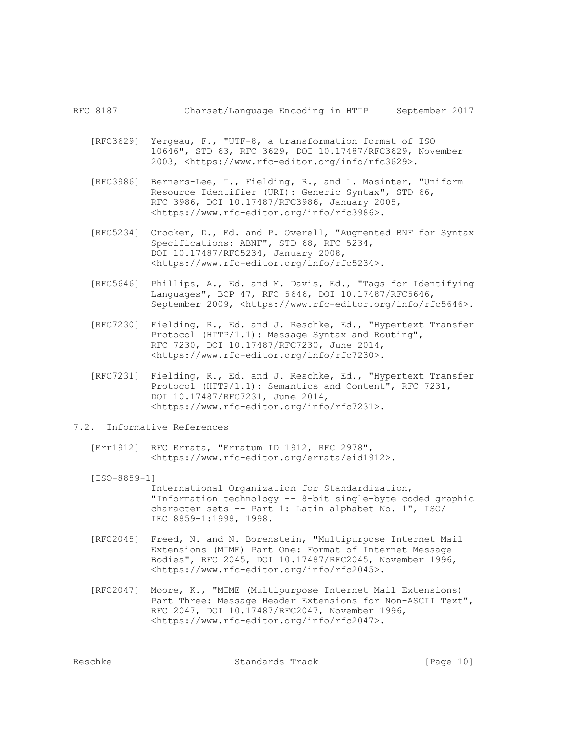- [RFC3629] Yergeau, F., "UTF-8, a transformation format of ISO 10646", STD 63, RFC 3629, DOI 10.17487/RFC3629, November 2003, <https://www.rfc-editor.org/info/rfc3629>.
- [RFC3986] Berners-Lee, T., Fielding, R., and L. Masinter, "Uniform Resource Identifier (URI): Generic Syntax", STD 66, RFC 3986, DOI 10.17487/RFC3986, January 2005, <https://www.rfc-editor.org/info/rfc3986>.
- [RFC5234] Crocker, D., Ed. and P. Overell, "Augmented BNF for Syntax Specifications: ABNF", STD 68, RFC 5234, DOI 10.17487/RFC5234, January 2008, <https://www.rfc-editor.org/info/rfc5234>.
- [RFC5646] Phillips, A., Ed. and M. Davis, Ed., "Tags for Identifying Languages", BCP 47, RFC 5646, DOI 10.17487/RFC5646, September 2009, <https://www.rfc-editor.org/info/rfc5646>.
- [RFC7230] Fielding, R., Ed. and J. Reschke, Ed., "Hypertext Transfer Protocol (HTTP/1.1): Message Syntax and Routing", RFC 7230, DOI 10.17487/RFC7230, June 2014, <https://www.rfc-editor.org/info/rfc7230>.
	- [RFC7231] Fielding, R., Ed. and J. Reschke, Ed., "Hypertext Transfer Protocol (HTTP/1.1): Semantics and Content", RFC 7231, DOI 10.17487/RFC7231, June 2014, <https://www.rfc-editor.org/info/rfc7231>.

## 7.2. Informative References

[Err1912] RFC Errata, "Erratum ID 1912, RFC 2978", <https://www.rfc-editor.org/errata/eid1912>.

#### [ISO-8859-1]

 International Organization for Standardization, "Information technology -- 8-bit single-byte coded graphic character sets -- Part 1: Latin alphabet No. 1", ISO/ IEC 8859-1:1998, 1998.

- [RFC2045] Freed, N. and N. Borenstein, "Multipurpose Internet Mail Extensions (MIME) Part One: Format of Internet Message Bodies", RFC 2045, DOI 10.17487/RFC2045, November 1996, <https://www.rfc-editor.org/info/rfc2045>.
- [RFC2047] Moore, K., "MIME (Multipurpose Internet Mail Extensions) Part Three: Message Header Extensions for Non-ASCII Text", RFC 2047, DOI 10.17487/RFC2047, November 1996, <https://www.rfc-editor.org/info/rfc2047>.

Reschke Standards Track [Page 10]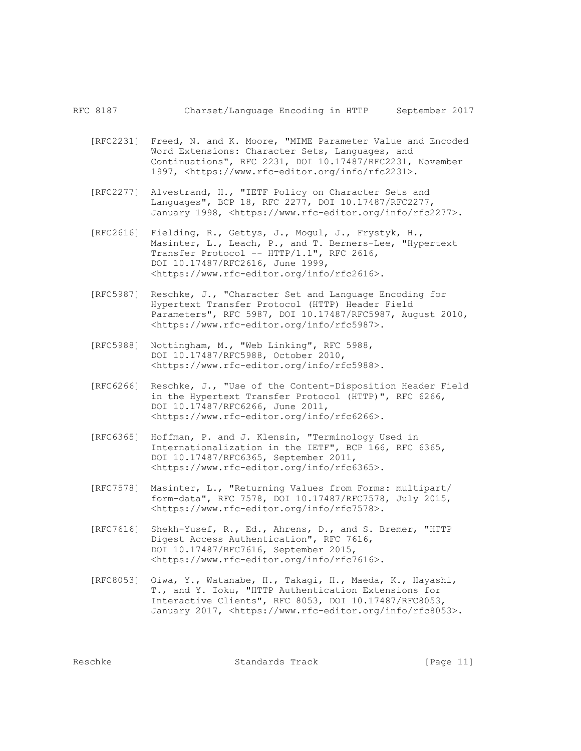RFC 8187 Charset/Language Encoding in HTTP September 2017

- [RFC2231] Freed, N. and K. Moore, "MIME Parameter Value and Encoded Word Extensions: Character Sets, Languages, and Continuations", RFC 2231, DOI 10.17487/RFC2231, November 1997, <https://www.rfc-editor.org/info/rfc2231>.
- [RFC2277] Alvestrand, H., "IETF Policy on Character Sets and Languages", BCP 18, RFC 2277, DOI 10.17487/RFC2277, January 1998, <https://www.rfc-editor.org/info/rfc2277>.
- [RFC2616] Fielding, R., Gettys, J., Mogul, J., Frystyk, H., Masinter, L., Leach, P., and T. Berners-Lee, "Hypertext Transfer Protocol -- HTTP/1.1", RFC 2616, DOI 10.17487/RFC2616, June 1999, <https://www.rfc-editor.org/info/rfc2616>.
- [RFC5987] Reschke, J., "Character Set and Language Encoding for Hypertext Transfer Protocol (HTTP) Header Field Parameters", RFC 5987, DOI 10.17487/RFC5987, August 2010, <https://www.rfc-editor.org/info/rfc5987>.
- [RFC5988] Nottingham, M., "Web Linking", RFC 5988, DOI 10.17487/RFC5988, October 2010, <https://www.rfc-editor.org/info/rfc5988>.
- [RFC6266] Reschke, J., "Use of the Content-Disposition Header Field in the Hypertext Transfer Protocol (HTTP)", RFC 6266, DOI 10.17487/RFC6266, June 2011, <https://www.rfc-editor.org/info/rfc6266>.
- [RFC6365] Hoffman, P. and J. Klensin, "Terminology Used in Internationalization in the IETF", BCP 166, RFC 6365, DOI 10.17487/RFC6365, September 2011, <https://www.rfc-editor.org/info/rfc6365>.
- [RFC7578] Masinter, L., "Returning Values from Forms: multipart/ form-data", RFC 7578, DOI 10.17487/RFC7578, July 2015, <https://www.rfc-editor.org/info/rfc7578>.
- [RFC7616] Shekh-Yusef, R., Ed., Ahrens, D., and S. Bremer, "HTTP Digest Access Authentication", RFC 7616, DOI 10.17487/RFC7616, September 2015, <https://www.rfc-editor.org/info/rfc7616>.
- [RFC8053] Oiwa, Y., Watanabe, H., Takagi, H., Maeda, K., Hayashi, T., and Y. Ioku, "HTTP Authentication Extensions for Interactive Clients", RFC 8053, DOI 10.17487/RFC8053, January 2017, <https://www.rfc-editor.org/info/rfc8053>.

Reschke Standards Track [Page 11]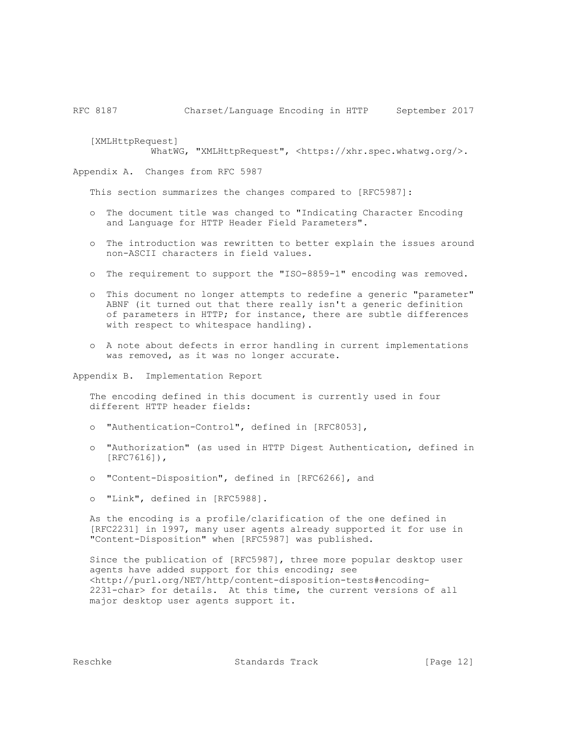[XMLHttpRequest] WhatWG, "XMLHttpRequest", <https://xhr.spec.whatwg.org/>.

Appendix A. Changes from RFC 5987

This section summarizes the changes compared to [RFC5987]:

- o The document title was changed to "Indicating Character Encoding and Language for HTTP Header Field Parameters".
- o The introduction was rewritten to better explain the issues around non-ASCII characters in field values.
- o The requirement to support the "ISO-8859-1" encoding was removed.
- o This document no longer attempts to redefine a generic "parameter" ABNF (it turned out that there really isn't a generic definition of parameters in HTTP; for instance, there are subtle differences with respect to whitespace handling).
- o A note about defects in error handling in current implementations was removed, as it was no longer accurate.

Appendix B. Implementation Report

 The encoding defined in this document is currently used in four different HTTP header fields:

- o "Authentication-Control", defined in [RFC8053],
- o "Authorization" (as used in HTTP Digest Authentication, defined in [RFC7616]),
- o "Content-Disposition", defined in [RFC6266], and
- o "Link", defined in [RFC5988].

 As the encoding is a profile/clarification of the one defined in [RFC2231] in 1997, many user agents already supported it for use in "Content-Disposition" when [RFC5987] was published.

 Since the publication of [RFC5987], three more popular desktop user agents have added support for this encoding; see <http://purl.org/NET/http/content-disposition-tests#encoding- 2231-char> for details. At this time, the current versions of all major desktop user agents support it.

Reschke Standards Track [Page 12]